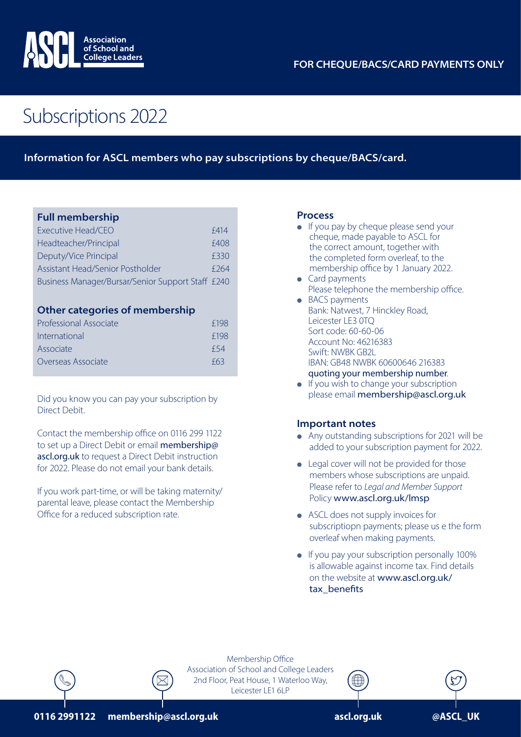

# Subscriptions 2022

## **Information for ASCL members who pay subscriptions by cheque/BACS/card.**

### **Full membership**

| Executive Head/CEO                                | <b>£414</b> |
|---------------------------------------------------|-------------|
| Headteacher/Principal                             | £408        |
| Deputy/Vice Principal                             | £330        |
| Assistant Head/Senior Postholder                  | f 264       |
| Business Manager/Bursar/Senior Support Staff £240 |             |

#### **Other categories of membership**

| Professional Associate | f198 |
|------------------------|------|
| International          | f198 |
| Associate              | f 54 |
| Overseas Associate     | f63  |
|                        |      |

Did you know you can pay your subscription by Direct Debit.

Contact the membership office on 0116 299 1122 to set up a Direct Debit or email membership@ ascl.org.uk to request a Direct Debit instruction for 2022. Please do not email your bank details.

If you work part-time, or will be taking maternity/ parental leave, please contact the Membership Office for a reduced subscription rate.

#### **Process**

- **.** If you pay by cheque please send your cheque, made payable to ASCL for the correct amount, together with the completed form overleaf, to the membership office by 1 January 2022.
- $\bullet$  Card payments Please telephone the membership office.
- $\bullet$  BACS payments Bank: Natwest, 7 Hinckley Road, Leicester LE3 0TQ Sort code: 60-60-06 Account No: 46216383 Swift: NWBK GB2L IBAN: GB48 NWBK 60600646 216383 quoting your membership number.
- $\bullet$  If you wish to change your subscription please email membership@ascl.org.uk

#### **Important notes**

- Any outstanding subscriptions for 2021 will be added to your subscription payment for 2022.
- $\bullet$  Legal cover will not be provided for those members whose subscriptions are unpaid. Please refer to *Legal and Member Support* Policy www.ascl.org.uk/lmsp
- ASCL does not supply invoices for subscriptiopn payments; please us e the form overleaf when making payments.
- $\bullet$  If you pay your subscription personally 100% is allowable against income tax. Find details on the website at www.ascl.org.uk/ tax\_benefits



Membership Office Association of School and College Leaders 2nd Floor, Peat House, 1 Waterloo Way, Leicester LE1 6LP